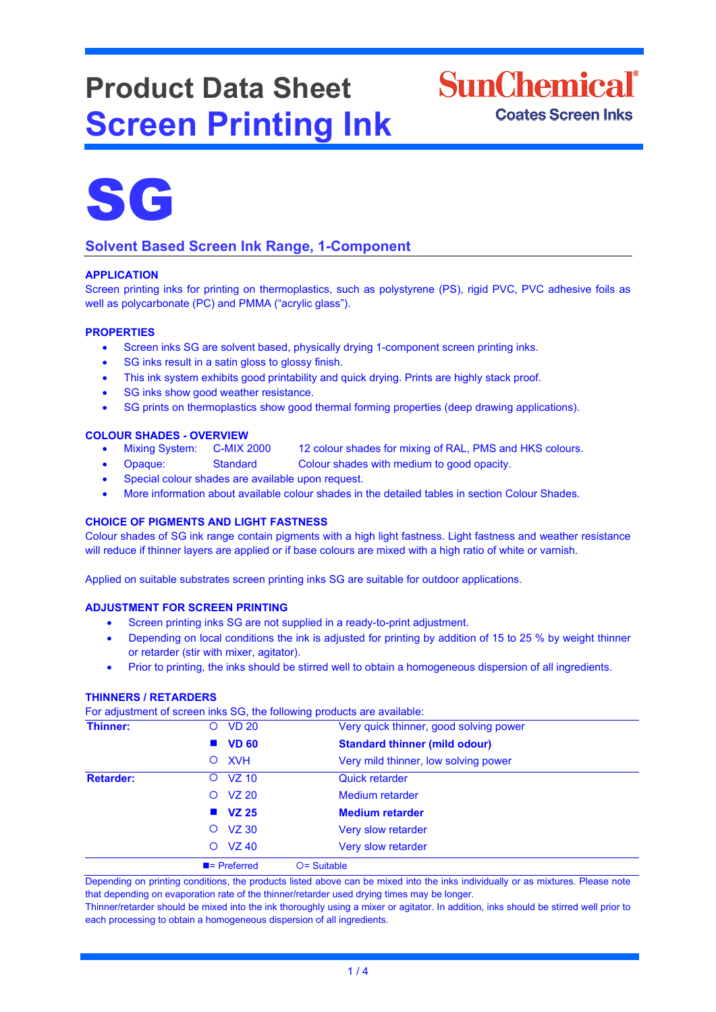# **Product Data Sheet Screen Printing Ink**





# **Solvent Based Screen Ink Range, 1-Component**

# **APPLICATION**

Screen printing inks for printing on thermoplastics, such as polystyrene (PS), rigid PVC, PVC adhesive foils as well as polycarbonate (PC) and PMMA ("acrylic glass").

### **PROPERTIES**

- Screen inks SG are solvent based, physically drying 1-component screen printing inks.
- SG inks result in a satin gloss to glossy finish.
- This ink system exhibits good printability and quick drying. Prints are highly stack proof.
- SG inks show good weather resistance.
- SG prints on thermoplastics show good thermal forming properties (deep drawing applications).

# **COLOUR SHADES - OVERVIEW**

- Mixing System: C-MIX 2000 12 colour shades for mixing of RAL, PMS and HKS colours.
- Opaque: Standard Colour shades with medium to good opacity.
- Special colour shades are available upon request.
- More information about available colour shades in the detailed tables in section Colour Shades.

# **CHOICE OF PIGMENTS AND LIGHT FASTNESS**

Colour shades of SG ink range contain pigments with a high light fastness. Light fastness and weather resistance will reduce if thinner layers are applied or if base colours are mixed with a high ratio of white or varnish.

Applied on suitable substrates screen printing inks SG are suitable for outdoor applications.

### **ADJUSTMENT FOR SCREEN PRINTING**

- Screen printing inks SG are not supplied in a ready-to-print adjustment.
- Depending on local conditions the ink is adjusted for printing by addition of 15 to 25 % by weight thinner or retarder (stir with mixer, agitator).
- Prior to printing, the inks should be stirred well to obtain a homogeneous dispersion of all ingredients.

### **THINNERS / RETARDERS**

For adjustment of screen inks SG, the following products are available:

|                  |                          | ັ                                      |
|------------------|--------------------------|----------------------------------------|
| Thinner:         | <b>VD 20</b><br>Ő        | Very quick thinner, good solving power |
|                  | <b>VD 60</b>             | <b>Standard thinner (mild odour)</b>   |
|                  | <b>XVH</b><br>$\circ$    | Very mild thinner, low solving power   |
| <b>Retarder:</b> | <b>VZ 10</b><br>Ő        | <b>Quick retarder</b>                  |
|                  | <b>VZ 20</b><br>$\circ$  | Medium retarder                        |
|                  | $\blacksquare$ VZ 25     | <b>Medium retarder</b>                 |
|                  | <b>VZ 30</b><br>$\circ$  | Very slow retarder                     |
|                  | <b>VZ 40</b><br>$\circ$  | Very slow retarder                     |
|                  | $\blacksquare$ Preferred | $O =$ Suitable                         |

Depending on printing conditions, the products listed above can be mixed into the inks individually or as mixtures. Please note that depending on evaporation rate of the thinner/retarder used drying times may be longer.

Thinner/retarder should be mixed into the ink thoroughly using a mixer or agitator. In addition, inks should be stirred well prior to each processing to obtain a homogeneous dispersion of all ingredients.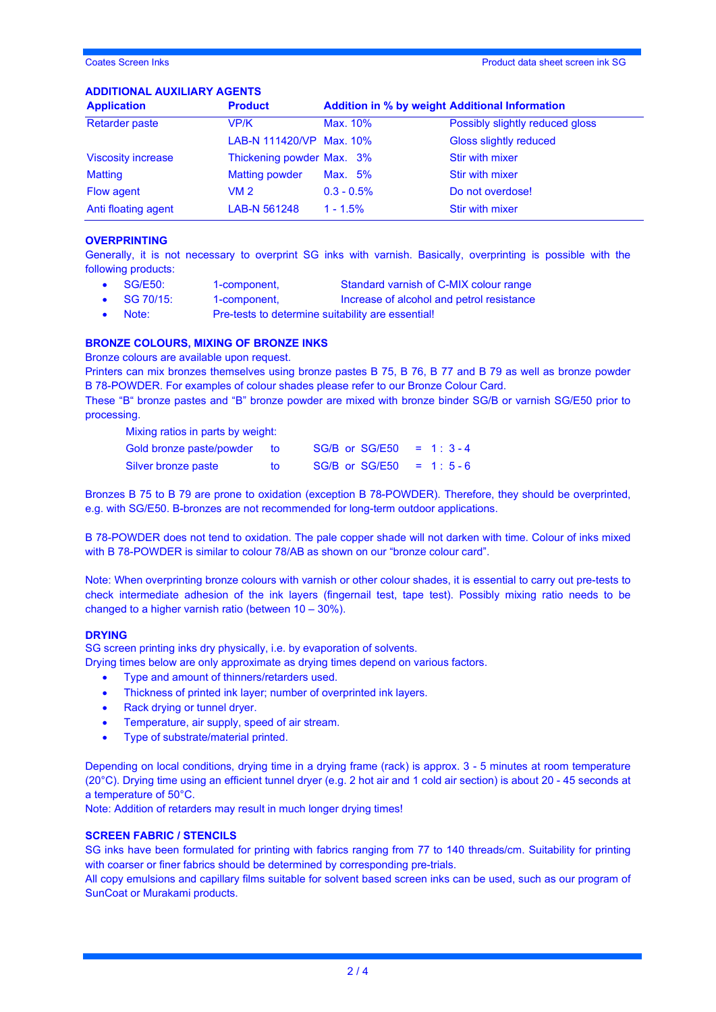Coates Screen Inks Product data sheet screen ink SG

### **ADDITIONAL AUXILIARY AGENTS**

| <b>Application</b>        | <b>Product</b>            | <b>Addition in % by weight Additional Information</b> |                                 |  |
|---------------------------|---------------------------|-------------------------------------------------------|---------------------------------|--|
| <b>Retarder paste</b>     | VP/K                      | Max. 10%                                              | Possibly slightly reduced gloss |  |
|                           | LAB-N 111420/VP Max. 10%  |                                                       | Gloss slightly reduced          |  |
| <b>Viscosity increase</b> | Thickening powder Max. 3% |                                                       | Stir with mixer                 |  |
| <b>Matting</b>            | <b>Matting powder</b>     | Max. 5%                                               | Stir with mixer                 |  |
| Flow agent                | VM 2                      | $0.3 - 0.5\%$                                         | Do not overdose!                |  |
| Anti floating agent       | LAB-N 561248              | $1 - 1.5%$                                            | Stir with mixer                 |  |

### **OVERPRINTING**

Generally, it is not necessary to overprint SG inks with varnish. Basically, overprinting is possible with the following products:

- SG/E50: 1-component, Standard varnish of C-MIX colour range
- SG 70/15: 1-component, Increase of alcohol and petrol resistance
- Note: Pre-tests to determine suitability are essential!

#### **BRONZE COLOURS, MIXING OF BRONZE INKS**

Bronze colours are available upon request.

Printers can mix bronzes themselves using bronze pastes B 75, B 76, B 77 and B 79 as well as bronze powder B 78-POWDER. For examples of colour shades please refer to our Bronze Colour Card.

These "B" bronze pastes and "B" bronze powder are mixed with bronze binder SG/B or varnish SG/E50 prior to processing.

Mixing ratios in parts by weight:

| Gold bronze paste/powder | to: | $SG/B$ or $SG/E50 = 1:3-4$ |  |
|--------------------------|-----|----------------------------|--|
| Silver bronze paste      | tΩ  | $SG/B$ or $SG/E50 = 1:5-6$ |  |

Bronzes B 75 to B 79 are prone to oxidation (exception B 78-POWDER). Therefore, they should be overprinted, e.g. with SG/E50. B-bronzes are not recommended for long-term outdoor applications.

B 78-POWDER does not tend to oxidation. The pale copper shade will not darken with time. Colour of inks mixed with B 78-POWDER is similar to colour 78/AB as shown on our "bronze colour card".

Note: When overprinting bronze colours with varnish or other colour shades, it is essential to carry out pre-tests to check intermediate adhesion of the ink layers (fingernail test, tape test). Possibly mixing ratio needs to be changed to a higher varnish ratio (between 10 – 30%).

#### **DRYING**

SG screen printing inks dry physically, i.e. by evaporation of solvents.

Drying times below are only approximate as drying times depend on various factors.

- Type and amount of thinners/retarders used.
- Thickness of printed ink layer; number of overprinted ink layers.
- Rack drying or tunnel dryer.
- Temperature, air supply, speed of air stream.
- Type of substrate/material printed.

Depending on local conditions, drying time in a drying frame (rack) is approx. 3 - 5 minutes at room temperature (20°C). Drying time using an efficient tunnel dryer (e.g. 2 hot air and 1 cold air section) is about 20 - 45 seconds at a temperature of 50°C.

Note: Addition of retarders may result in much longer drying times!

#### **SCREEN FABRIC / STENCILS**

SG inks have been formulated for printing with fabrics ranging from 77 to 140 threads/cm. Suitability for printing with coarser or finer fabrics should be determined by corresponding pre-trials.

All copy emulsions and capillary films suitable for solvent based screen inks can be used, such as our program of SunCoat or Murakami products.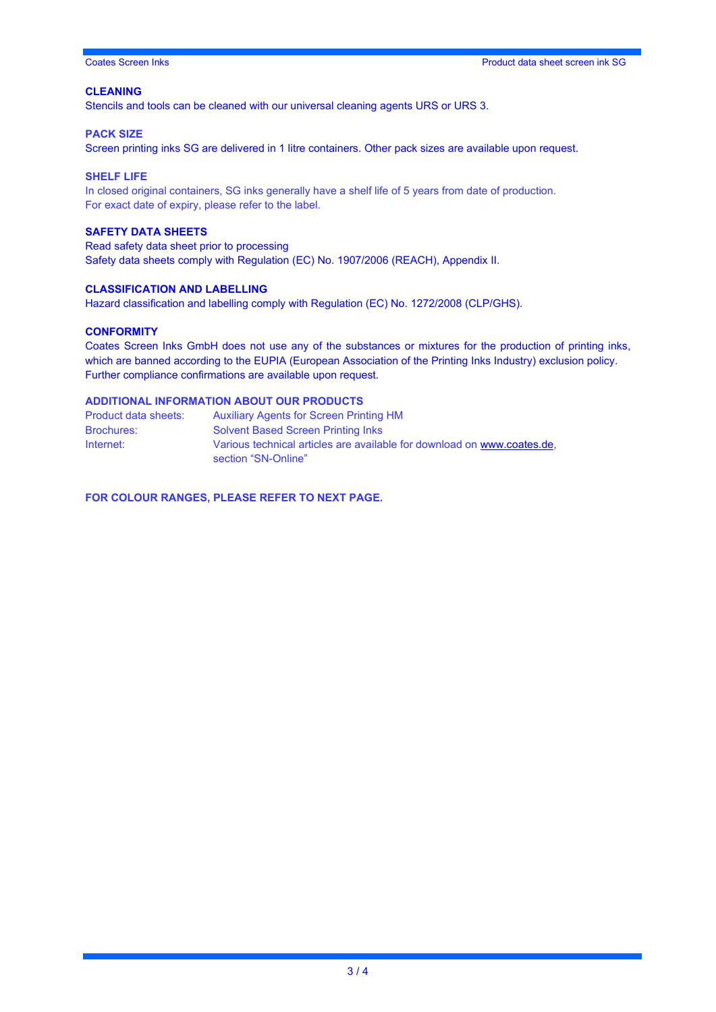### **CLEANING**

Stencils and tools can be cleaned with our universal cleaning agents URS or URS 3.

#### **PACK SIZE**

Screen printing inks SG are delivered in 1 litre containers. Other pack sizes are available upon request.

#### **SHELF LIFE**

In closed original containers, SG inks generally have a shelf life of 5 years from date of production. For exact date of expiry, please refer to the label.

# **SAFETY DATA SHEETS**

Read safety data sheet prior to processing Safety data sheets comply with Regulation (EC) No. 1907/2006 (REACH), Appendix II.

### **CLASSIFICATION AND LABELLING**

Hazard classification and labelling comply with Regulation (EC) No. 1272/2008 (CLP/GHS).

#### **CONFORMITY**

Coates Screen Inks GmbH does not use any of the substances or mixtures for the production of printing inks, which are banned according to the EUPIA (European Association of the Printing Inks Industry) exclusion policy. Further compliance confirmations are available upon request.

# **ADDITIONAL INFORMATION ABOUT OUR PRODUCTS**

| Product data sheets: | <b>Auxiliary Agents for Screen Printing HM</b>                                                 |
|----------------------|------------------------------------------------------------------------------------------------|
| <b>Brochures:</b>    | <b>Solvent Based Screen Printing Inks</b>                                                      |
| Internet:            | Various technical articles are available for download on www.coates.de.<br>section "SN-Online" |

**FOR COLOUR RANGES, PLEASE REFER TO NEXT PAGE.**